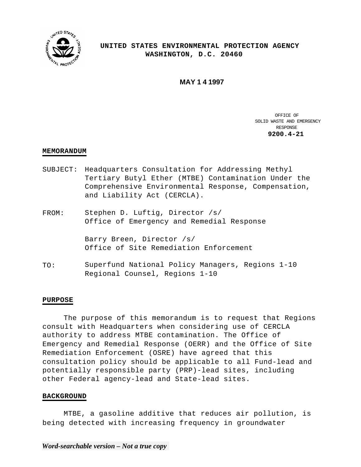

# **UNITED STATES ENVIRONMENTAL PROTECTION AGENCY WASHINGTON, D.C. 20460**

**MAY 1 4 1997** 

OFFICE OF SOLID WASTE AND EMERGENCY RESPONSE **9200.4-21** 

## **MEMORANDUM**

- SUBJECT: Headquarters Consultation for Addressing Methyl Tertiary Butyl Ether (MTBE) Contamination Under the Comprehensive Environmental Response, Compensation, and Liability Act (CERCLA).
- FROM: Stephen D. Luftig, Director /s/ Office of Emergency and Remedial Response

Barry Breen, Director /s/ Office of Site Remediation Enforcement

TO: Superfund National Policy Managers, Regions 1-10 Regional Counsel, Regions 1-10

# **PURPOSE**

The purpose of this memorandum is to request that Regions consult with Headquarters when considering use of CERCLA authority to address MTBE contamination. The Office of Emergency and Remedial Response (OERR) and the Office of Site Remediation Enforcement (OSRE) have agreed that this consultation policy should be applicable to all Fund-lead and potentially responsible party (PRP)-lead sites, including other Federal agency-lead and State-lead sites.

#### **BACKGROUND**

MTBE, a gasoline additive that reduces air pollution, is being detected with increasing frequency in groundwater